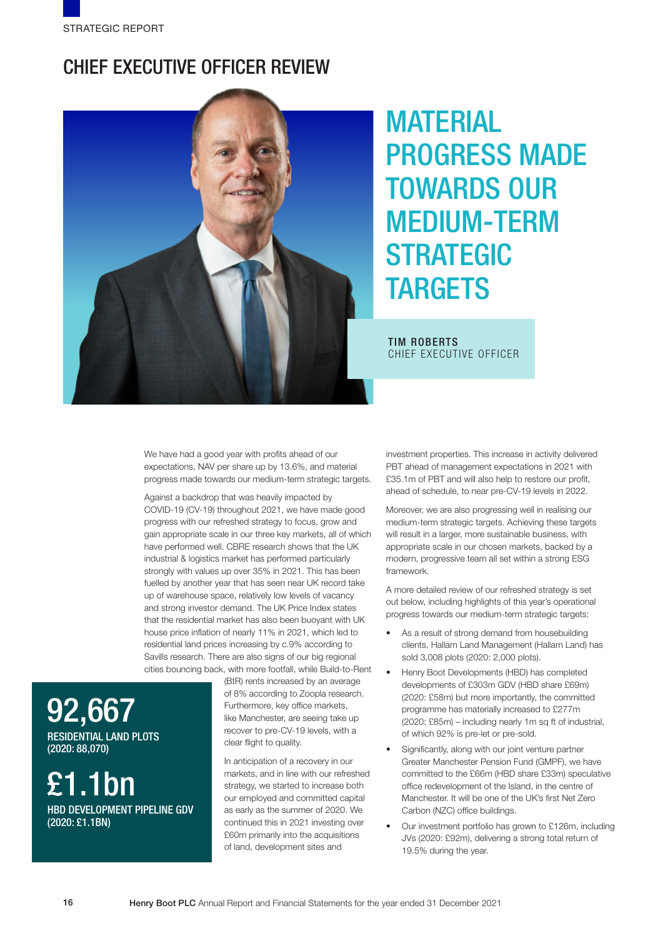## CHIEF EXECUTIVE OFFICER REVIEW



# **MATERIAL** PROGRESS MADE TOWARDS OUR MEDIUM-TERM **STRATEGIC TARGETS**

TIM ROBERTS CHIEF EXECUTIVE OFFICER

We have had a good year with profits ahead of our expectations, NAV per share up by 13.6%, and material progress made towards our medium-term strategic targets.

Against a backdrop that was heavily impacted by COVID-19 (CV-19) throughout 2021, we have made good progress with our refreshed strategy to focus, grow and gain appropriate scale in our three key markets, all of which have performed well. CBRE research shows that the UK industrial & logistics market has performed particularly strongly with values up over 35% in 2021. This has been fuelled by another year that has seen near UK record take up of warehouse space, relatively low levels of vacancy and strong investor demand. The UK Price Index states that the residential market has also been buoyant with UK house price inflation of nearly 11% in 2021, which led to residential land prices increasing by c.9% according to Savills research. There are also signs of our big regional cities bouncing back, with more footfall, while Build-to-Rent

92,667 RESIDENTIAL LAND PLOTS (2020: 88,070)

£1.1bn

HBD DEVELOPMENT PIPELINE GDV (2020: £1.1BN)

(BtR) rents increased by an average of 8% according to Zoopla research. Furthermore, key office markets, like Manchester, are seeing take up recover to pre-CV-19 levels, with a clear flight to quality.

In anticipation of a recovery in our markets, and in line with our refreshed strategy, we started to increase both our employed and committed capital as early as the summer of 2020. We continued this in 2021 investing over £60m primarily into the acquisitions of land, development sites and

investment properties. This increase in activity delivered PBT ahead of management expectations in 2021 with £35.1m of PBT and will also help to restore our profit, ahead of schedule, to near pre-CV-19 levels in 2022.

Moreover, we are also progressing well in realising our medium-term strategic targets. Achieving these targets will result in a larger, more sustainable business, with appropriate scale in our chosen markets, backed by a modern, progressive team all set within a strong ESG framework.

A more detailed review of our refreshed strategy is set out below, including highlights of this year's operational progress towards our medium-term strategic targets:

- As a result of strong demand from housebuilding clients, Hallam Land Management (Hallam Land) has sold 3,008 plots (2020: 2,000 plots).
- Henry Boot Developments (HBD) has completed developments of £303m GDV (HBD share £69m) (2020: £58m) but more importantly, the committed programme has materially increased to £277m (2020: £85m) – including nearly 1m sq ft of industrial, of which 92% is pre-let or pre-sold.
- Significantly, along with our joint venture partner Greater Manchester Pension Fund (GMPF), we have committed to the £66m (HBD share £33m) speculative office redevelopment of the Island, in the centre of Manchester. It will be one of the UK's first Net Zero Carbon (NZC) office buildings.
- Our investment portfolio has grown to £126m, including JVs (2020: £92m), delivering a strong total return of 19.5% during the year.